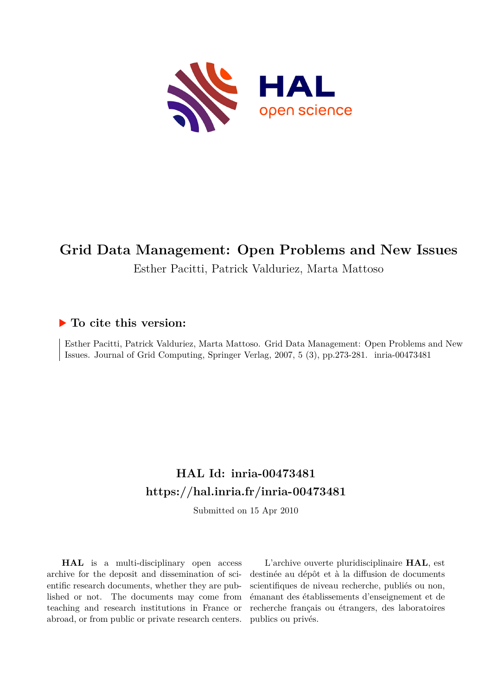

# **Grid Data Management: Open Problems and New Issues**

Esther Pacitti, Patrick Valduriez, Marta Mattoso

## **To cite this version:**

Esther Pacitti, Patrick Valduriez, Marta Mattoso. Grid Data Management: Open Problems and New Issues. Journal of Grid Computing, Springer Verlag, 2007, 5 (3), pp.273-281. inria-00473481

## **HAL Id: inria-00473481 <https://hal.inria.fr/inria-00473481>**

Submitted on 15 Apr 2010

**HAL** is a multi-disciplinary open access archive for the deposit and dissemination of scientific research documents, whether they are published or not. The documents may come from teaching and research institutions in France or abroad, or from public or private research centers.

L'archive ouverte pluridisciplinaire **HAL**, est destinée au dépôt et à la diffusion de documents scientifiques de niveau recherche, publiés ou non, émanant des établissements d'enseignement et de recherche français ou étrangers, des laboratoires publics ou privés.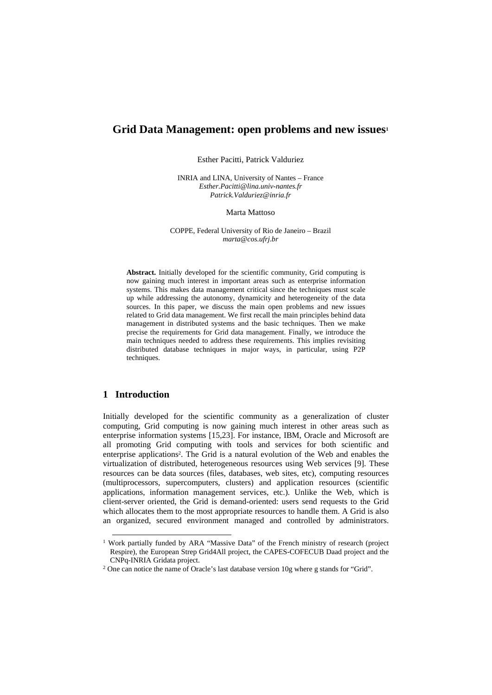## **Grid Data Management: open problems and new issues1**

Esther Pacitti, Patrick Valduriez

INRIA and LINA, University of Nantes – France *Esther.Pacitti@lina.univ-nantes.fr Patrick.Valduriez@inria.fr* 

#### Marta Mattoso

#### COPPE, Federal University of Rio de Janeiro – Brazil *marta@cos.ufrj.br*

**Abstract.** Initially developed for the scientific community, Grid computing is now gaining much interest in important areas such as enterprise information systems. This makes data management critical since the techniques must scale up while addressing the autonomy, dynamicity and heterogeneity of the data sources. In this paper, we discuss the main open problems and new issues related to Grid data management. We first recall the main principles behind data management in distributed systems and the basic techniques. Then we make precise the requirements for Grid data management. Finally, we introduce the main techniques needed to address these requirements. This implies revisiting distributed database techniques in major ways, in particular, using P2P techniques.

## **1 Introduction**

Initially developed for the scientific community as a generalization of cluster computing, Grid computing is now gaining much interest in other areas such as enterprise information systems [15,23]. For instance, IBM, Oracle and Microsoft are all promoting Grid computing with tools and services for both scientific and enterprise applications2. The Grid is a natural evolution of the Web and enables the virtualization of distributed, heterogeneous resources using Web services [9]. These resources can be data sources (files, databases, web sites, etc), computing resources (multiprocessors, supercomputers, clusters) and application resources (scientific applications, information management services, etc.). Unlike the Web, which is client-server oriented, the Grid is demand-oriented: users send requests to the Grid which allocates them to the most appropriate resources to handle them. A Grid is also an organized, secured environment managed and controlled by administrators.

<sup>&</sup>lt;sup>1</sup> Work partially funded by ARA "Massive Data" of the French ministry of research (project Respire), the European Strep Grid4All project, the CAPES-COFECUB Daad project and the CNPq-INRIA Gridata project. 2 One can notice the name of Oracle's last database version 10g where g stands for "Grid".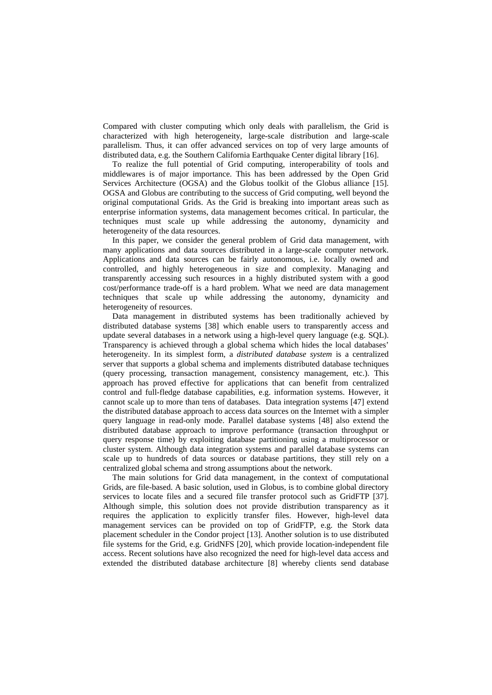Compared with cluster computing which only deals with parallelism, the Grid is characterized with high heterogeneity, large-scale distribution and large-scale parallelism. Thus, it can offer advanced services on top of very large amounts of distributed data, e.g. the Southern California Earthquake Center digital library [ 16].

To realize the full potential of Grid computing, interoperability of tools and middlewares is of major importance. This has been addressed by the Open Grid Services Architecture (OGSA) and the Globus toolkit of the Globus alliance [15]. OGSA and Globus are contributing to the success of Grid computing, well beyond the original computational Grids. As the Grid is breaking into important areas such as enterprise information systems, data management becomes critical. In particular, the techniques must scale up while addressing the autonomy, dynamicity and heterogeneity of the data resources.

In this paper, we consider the general problem of Grid data management, with many applications and data sources distributed in a large-scale computer network. Applications and data sources can be fairly autonomous, i.e. locally owned and controlled, and highly heterogeneous in size and complexity. Managing and transparently accessing such resources in a highly distributed system with a good cost/performance trade-off is a hard problem. What we need are data management techniques that scale up while addressing the autonomy, dynamicity and heterogeneity of resources.

Data management in distributed systems has been traditionally achieved by distributed database systems [ 38] which enable users to transparently access and update several databases in a network using a high-level query language (e.g. SQL). Transparency is achieved through a global schema which hides the local databases' heterogeneity. In its simplest form, a *distributed database system* is a centralized server that supports a global schema and implements distributed database techniques (query processing, transaction management, consistency management, etc.). This approach has proved effective for applications that can benefit from centralized control and full-fledge database capabilities, e.g. information systems. However, it cannot scale up to more than tens of databases. Data integration systems [ 47] extend the distributed database approach to access data sources on the Internet with a simpler query language in read-only mode. Parallel database systems [ 48] also extend the distributed database approach to improve performance (transaction throughput or query response time) by exploiting database partitioning using a multiprocessor or cluster system. Although data integration systems and parallel database systems can scale up to hundreds of data sources or database partitions, they still rely on a centralized global schema and strong assumptions about the network.

The main solutions for Grid data management, in the context of computational Grids, are file-based. A basic solution, used in Globus, is to combine global directory services to locate files and a secured file transfer protocol such as GridFTP [37]. Although simple, this solution does not provide distribution transparency as it requires the application to explicitly transfer files. However, high-level data management services can be provided on top of GridFTP, e.g. the Stork data placement scheduler in the Condor project [ 13]. Another solution is to use distributed file systems for the Grid, e.g. GridNFS [ 20], which provide location-independent file access. Recent solutions have also recognized the need for high-level data access and extended the distributed database architecture [8] whereby clients send database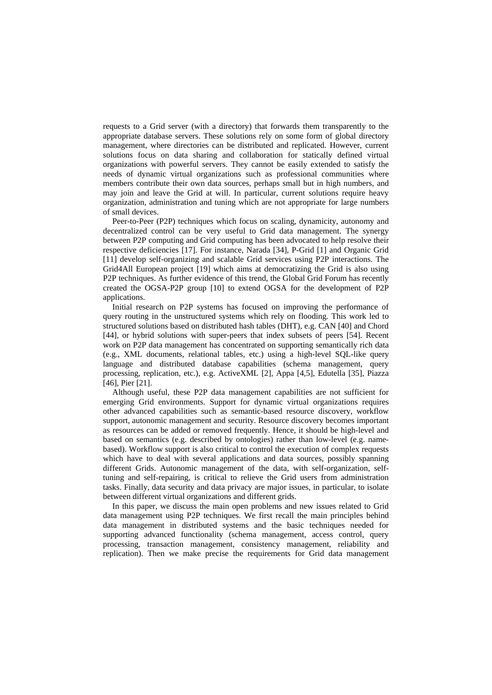requests to a Grid server (with a directory) that forwards them transparently to the appropriate database servers. These solutions rely on some form of global directory management, where directories can be distributed and replicated. However, current solutions focus on data sharing and collaboration for statically defined virtual organizations with powerful servers. They cannot be easily extended to satisfy the needs of dynamic virtual organizations such as professional communities where members contribute their own data sources, perhaps small but in high numbers, and may join and leave the Grid at will. In particular, current solutions require heavy organization, administration and tuning which are not appropriate for large numbers of small devices.

Peer-to-Peer (P2P) techniques which focus on scaling, dynamicity, autonomy and decentralized control can be very useful to Grid data management. The synergy between P2P computing and Grid computing has been advocated to help resolve their respective deficiencies [ 17]. For instance, Narada [ 34], P-Grid [ 1] and Organic Grid [ 11] develop self-organizing and scalable Grid services using P2P interactions. The Grid4All European project [19] which aims at democratizing the Grid is also using P2P techniques. As further evidence of this trend, the Global Grid Forum has recently created the OGSA-P2P group [10] to extend OGSA for the development of P2P applications.

Initial research on P2P systems has focused on improving the performance of query routing in the unstructured systems which rely on flooding. This work led to structured solutions based on distributed hash tables (DHT), e.g. CAN [ 40] and Chord [44], or hybrid solutions with super-peers that index subsets of peers [54]. Recent work on P2P data management has concentrated on supporting semantically rich data (e.g., XML documents, relational tables, etc.) using a high-level SQL-like query language and distributed database capabilities (schema management, query processing, replication, etc.), e.g. ActiveXML [2], Appa [4,5], Edutella [35], Piazza [46], Pier [21].

Although useful, these P2P data management capabilities are not sufficient for emerging Grid environments. Support for dynamic virtual organizations requires other advanced capabilities such as semantic-based resource discovery, workflow support, autonomic management and security. Resource discovery becomes important as resources can be added or removed frequently. Hence, it should be high-level and based on semantics (e.g. described by ontologies) rather than low-level (e.g. namebased). Workflow support is also critical to control the execution of complex requests which have to deal with several applications and data sources, possibly spanning different Grids. Autonomic management of the data, with self-organization, selftuning and self-repairing, is critical to relieve the Grid users from administration tasks. Finally, data security and data privacy are major issues, in particular, to isolate between different virtual organizations and different grids.

In this paper, we discuss the main open problems and new issues related to Grid data management using P2P techniques. We first recall the main principles behind data management in distributed systems and the basic techniques needed for supporting advanced functionality (schema management, access control, query processing, transaction management, consistency management, reliability and replication). Then we make precise the requirements for Grid data management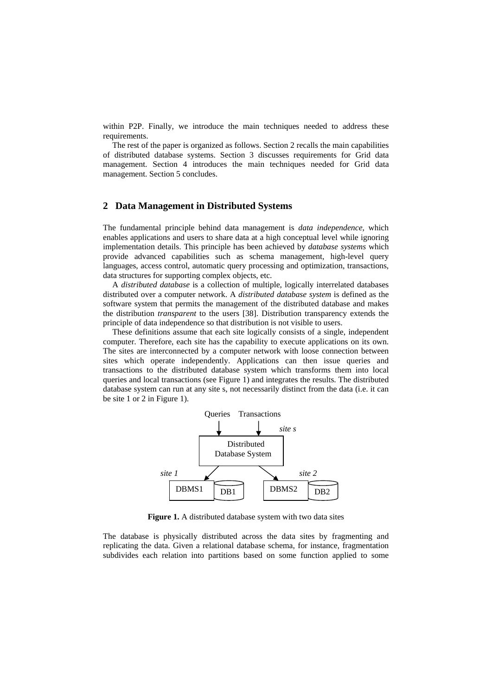within P2P. Finally, we introduce the main techniques needed to address these requirements.

The rest of the paper is organized as follows. Section 2 recalls the main capabilities of distributed database systems. Section 3 discusses requirements for Grid data management. Section 4 introduces the main techniques needed for Grid data management. Section 5 concludes.

#### **2 Data Management in Distributed Systems**

The fundamental principle behind data management is *data independence*, which enables applications and users to share data at a high conceptual level while ignoring implementation details. This principle has been achieved by *database systems* which provide advanced capabilities such as schema management, high-level query languages, access control, automatic query processing and optimization, transactions, data structures for supporting complex objects, etc.

A *distributed database* is a collection of multiple, logically interrelated databases distributed over a computer network. A *distributed database system* is defined as the software system that permits the management of the distributed database and makes the distribution *transparent* to the users [ 38]. Distribution transparency extends the principle of data independence so that distribution is not visible to users.

These definitions assume that each site logically consists of a single, independent computer. Therefore, each site has the capability to execute applications on its own. The sites are interconnected by a computer network with loose connection between sites which operate independently. Applications can then issue queries and transactions to the distributed database system which transforms them into local queries and local transactions (see Figure 1) and integrates the results. The distributed database system can run at any site s, not necessarily distinct from the data (i.e. it can be site 1 or 2 in Figure 1).



**Figure 1.** A distributed database system with two data sites

The database is physically distributed across the data sites by fragmenting and replicating the data. Given a relational database schema, for instance, fragmentation subdivides each relation into partitions based on some function applied to some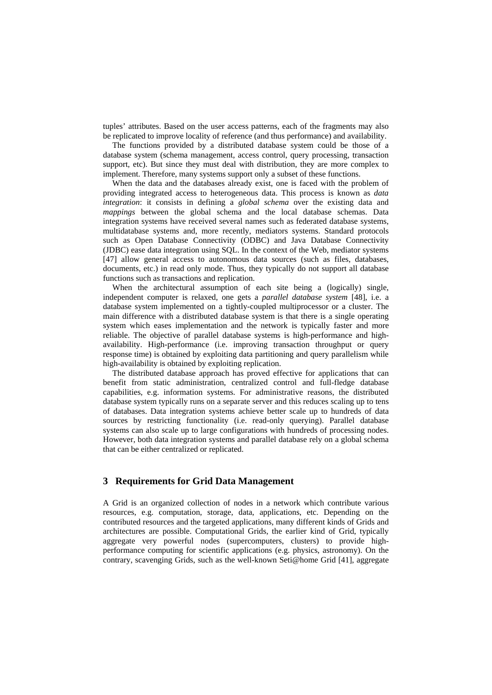tuples' attributes. Based on the user access patterns, each of the fragments may also be replicated to improve locality of reference (and thus performance) and availability.

The functions provided by a distributed database system could be those of a database system (schema management, access control, query processing, transaction support, etc). But since they must deal with distribution, they are more complex to implement. Therefore, many systems support only a subset of these functions.

When the data and the databases already exist, one is faced with the problem of providing integrated access to heterogeneous data. This process is known as *data integration*: it consists in defining a *global schema* over the existing data and *mappings* between the global schema and the local database schemas. Data integration systems have received several names such as federated database systems, multidatabase systems and, more recently, mediators systems. Standard protocols such as Open Database Connectivity (ODBC) and Java Database Connectivity (JDBC) ease data integration using SQL. In the context of the Web, mediator systems [ 47] allow general access to autonomous data sources (such as files, databases, documents, etc.) in read only mode. Thus, they typically do not support all database functions such as transactions and replication.

When the architectural assumption of each site being a (logically) single, independent computer is relaxed, one gets a *parallel database system* [ 48], i.e. a database system implemented on a tightly-coupled multiprocessor or a cluster. The main difference with a distributed database system is that there is a single operating system which eases implementation and the network is typically faster and more reliable. The objective of parallel database systems is high-performance and highavailability. High-performance (i.e. improving transaction throughput or query response time) is obtained by exploiting data partitioning and query parallelism while high-availability is obtained by exploiting replication.

The distributed database approach has proved effective for applications that can benefit from static administration, centralized control and full-fledge database capabilities, e.g. information systems. For administrative reasons, the distributed database system typically runs on a separate server and this reduces scaling up to tens of databases. Data integration systems achieve better scale up to hundreds of data sources by restricting functionality (i.e. read-only querying). Parallel database systems can also scale up to large configurations with hundreds of processing nodes. However, both data integration systems and parallel database rely on a global schema that can be either centralized or replicated.

#### **3 Requirements for Grid Data Management**

A Grid is an organized collection of nodes in a network which contribute various resources, e.g. computation, storage, data, applications, etc. Depending on the contributed resources and the targeted applications, many different kinds of Grids and architectures are possible. Computational Grids, the earlier kind of Grid, typically aggregate very powerful nodes (supercomputers, clusters) to provide highperformance computing for scientific applications (e.g. physics, astronomy). On the contrary, scavenging Grids, such as the well-known Seti@home Grid [41], aggregate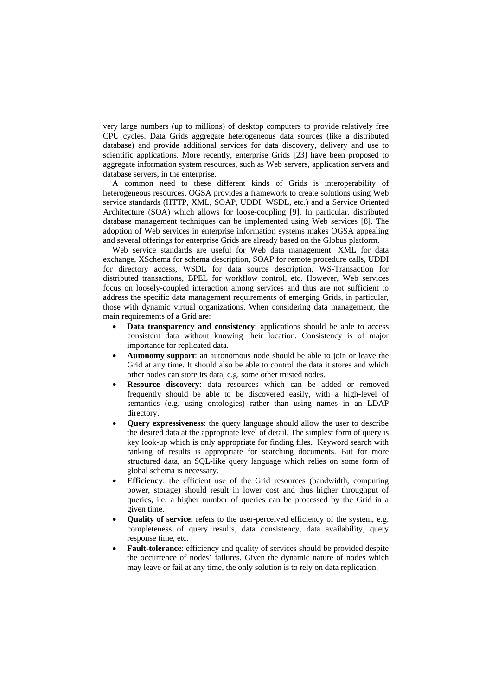very large numbers (up to millions) of desktop computers to provide relatively free CPU cycles. Data Grids aggregate heterogeneous data sources (like a distributed database) and provide additional services for data discovery, delivery and use to scientific applications. More recently, enterprise Grids [ 23] have been proposed to aggregate information system resources, such as Web servers, application servers and database servers, in the enterprise.

A common need to these different kinds of Grids is interoperability of heterogeneous resources. OGSA provides a framework to create solutions using Web service standards (HTTP, XML, SOAP, UDDI, WSDL, etc.) and a Service Oriented Architecture (SOA) which allows for loose-coupling [9]. In particular, distributed database management techniques can be implemented using Web services [8]. The adoption of Web services in enterprise information systems makes OGSA appealing and several offerings for enterprise Grids are already based on the Globus platform.

Web service standards are useful for Web data management: XML for data exchange, XSchema for schema description, SOAP for remote procedure calls, UDDI for directory access, WSDL for data source description, WS-Transaction for distributed transactions, BPEL for workflow control, etc. However, Web services focus on loosely-coupled interaction among services and thus are not sufficient to address the specific data management requirements of emerging Grids, in particular, those with dynamic virtual organizations. When considering data management, the main requirements of a Grid are:

- **Data transparency and consistency**: applications should be able to access consistent data without knowing their location. Consistency is of major importance for replicated data.
- **Autonomy support**: an autonomous node should be able to join or leave the Grid at any time. It should also be able to control the data it stores and which other nodes can store its data, e.g. some other trusted nodes.
- **Resource discovery:** data resources which can be added or removed frequently should be able to be discovered easily, with a high-level of semantics (e.g. using ontologies) rather than using names in an LDAP directory.
- **Query expressiveness**: the query language should allow the user to describe the desired data at the appropriate level of detail. The simplest form of query is key look-up which is only appropriate for finding files. Keyword search with ranking of results is appropriate for searching documents. But for more structured data, an SQL-like query language which relies on some form of global schema is necessary.
- **Efficiency**: the efficient use of the Grid resources (bandwidth, computing power, storage) should result in lower cost and thus higher throughput of queries, i.e. a higher number of queries can be processed by the Grid in a given time.
- **Quality of service**: refers to the user-perceived efficiency of the system, e.g. completeness of query results, data consistency, data availability, query response time, etc.
- **Fault-tolerance**: efficiency and quality of services should be provided despite the occurrence of nodes' failures. Given the dynamic nature of nodes which may leave or fail at any time, the only solution is to rely on data replication.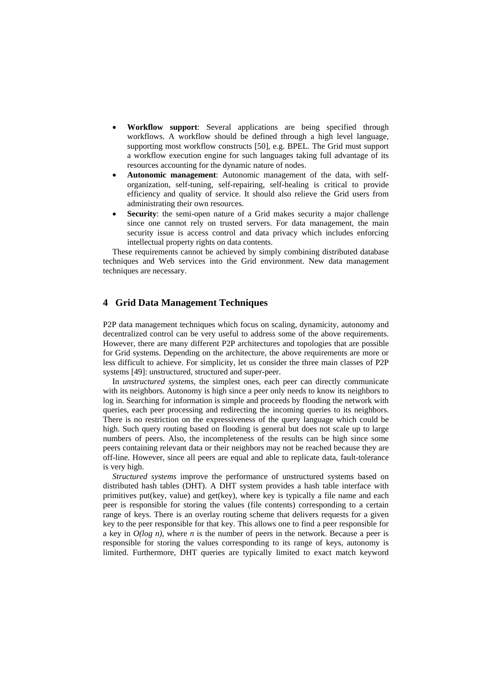- **Workflow support**: Several applications are being specified through workflows. A workflow should be defined through a high level language, supporting most workflow constructs [50], e.g. BPEL. The Grid must support a workflow execution engine for such languages taking full advantage of its resources accounting for the dynamic nature of nodes.
- **Autonomic management**: Autonomic management of the data, with selforganization, self-tuning, self-repairing, self-healing is critical to provide efficiency and quality of service. It should also relieve the Grid users from administrating their own resources.
- **Security**: the semi-open nature of a Grid makes security a major challenge since one cannot rely on trusted servers. For data management, the main security issue is access control and data privacy which includes enforcing intellectual property rights on data contents.

These requirements cannot be achieved by simply combining distributed database techniques and Web services into the Grid environment. New data management techniques are necessary.

## **4 Grid Data Management Techniques**

P2P data management techniques which focus on scaling, dynamicity, autonomy and decentralized control can be very useful to address some of the above requirements. However, there are many different P2P architectures and topologies that are possible for Grid systems. Depending on the architecture, the above requirements are more or less difficult to achieve. For simplicity, let us consider the three main classes of P2P systems [49]: unstructured, structured and super-peer.

In *unstructured systems*, the simplest ones, each peer can directly communicate with its neighbors. Autonomy is high since a peer only needs to know its neighbors to log in. Searching for information is simple and proceeds by flooding the network with queries, each peer processing and redirecting the incoming queries to its neighbors. There is no restriction on the expressiveness of the query language which could be high. Such query routing based on flooding is general but does not scale up to large numbers of peers. Also, the incompleteness of the results can be high since some peers containing relevant data or their neighbors may not be reached because they are off-line. However, since all peers are equal and able to replicate data, fault-tolerance is very high.

*Structured systems* improve the performance of unstructured systems based on distributed hash tables (DHT). A DHT system provides a hash table interface with primitives put(key, value) and get(key), where key is typically a file name and each peer is responsible for storing the values (file contents) corresponding to a certain range of keys. There is an overlay routing scheme that delivers requests for a given key to the peer responsible for that key. This allows one to find a peer responsible for a key in  $O(log n)$ , where *n* is the number of peers in the network. Because a peer is responsible for storing the values corresponding to its range of keys, autonomy is limited. Furthermore, DHT queries are typically limited to exact match keyword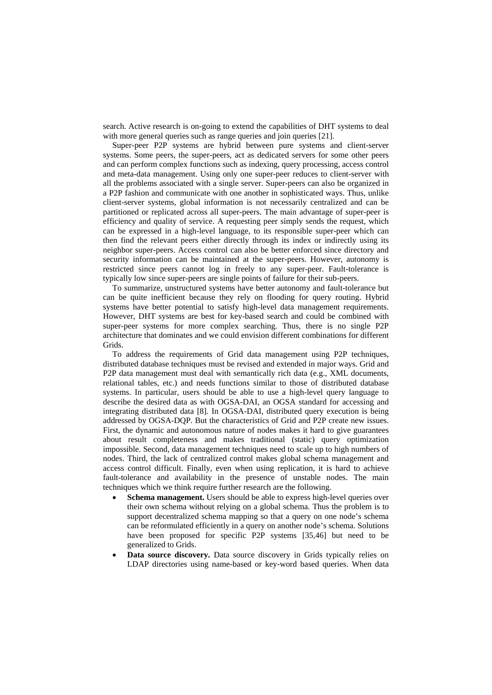search. Active research is on-going to extend the capabilities of DHT systems to deal with more general queries such as range queries and join queries [21].

Super-peer P2P systems are hybrid between pure systems and client-server systems. Some peers, the super-peers, act as dedicated servers for some other peers and can perform complex functions such as indexing, query processing, access control and meta-data management. Using only one super-peer reduces to client-server with all the problems associated with a single server. Super-peers can also be organized in a P2P fashion and communicate with one another in sophisticated ways. Thus, unlike client-server systems, global information is not necessarily centralized and can be partitioned or replicated across all super-peers. The main advantage of super-peer is efficiency and quality of service. A requesting peer simply sends the request, which can be expressed in a high-level language, to its responsible super-peer which can then find the relevant peers either directly through its index or indirectly using its neighbor super-peers. Access control can also be better enforced since directory and security information can be maintained at the super-peers. However, autonomy is restricted since peers cannot log in freely to any super-peer. Fault-tolerance is typically low since super-peers are single points of failure for their sub-peers.

To summarize, unstructured systems have better autonomy and fault-tolerance but can be quite inefficient because they rely on flooding for query routing. Hybrid systems have better potential to satisfy high-level data management requirements. However, DHT systems are best for key-based search and could be combined with super-peer systems for more complex searching. Thus, there is no single P2P architecture that dominates and we could envision different combinations for different Grids.

To address the requirements of Grid data management using P2P techniques, distributed database techniques must be revised and extended in major ways. Grid and P2P data management must deal with semantically rich data (e.g., XML documents, relational tables, etc.) and needs functions similar to those of distributed database systems. In particular, users should be able to use a high-level query language to describe the desired data as with OGSA-DAI, an OGSA standard for accessing and integrating distributed data [ 8]. In OGSA-DAI, distributed query execution is being addressed by OGSA-DQP. But the characteristics of Grid and P2P create new issues. First, the dynamic and autonomous nature of nodes makes it hard to give guarantees about result completeness and makes traditional (static) query optimization impossible. Second, data management techniques need to scale up to high numbers of nodes. Third, the lack of centralized control makes global schema management and access control difficult. Finally, even when using replication, it is hard to achieve fault-tolerance and availability in the presence of unstable nodes. The main techniques which we think require further research are the following.

- **Schema management.** Users should be able to express high-level queries over their own schema without relying on a global schema. Thus the problem is to support decentralized schema mapping so that a query on one node's schema can be reformulated efficiently in a query on another node's schema. Solutions have been proposed for specific P2P systems [35,46] but need to be generalized to Grids.
- **Data source discovery.** Data source discovery in Grids typically relies on LDAP directories using name-based or key-word based queries. When data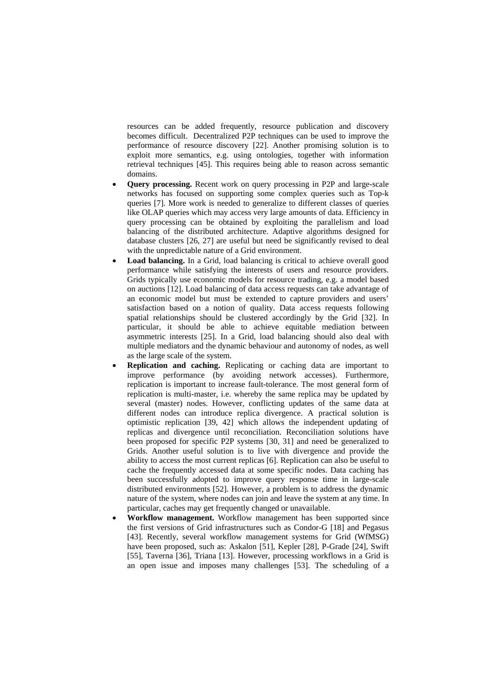resources can be added frequently, resource publication and discovery becomes difficult. Decentralized P2P techniques can be used to improve the performance of resource discovery [22]. Another promising solution is to exploit more semantics, e.g. using ontologies, together with information retrieval techniques [ 45]. This requires being able to reason across semantic domains.

- **Query processing.** Recent work on query processing in P2P and large-scale networks has focused on supporting some complex queries such as Top-k queries [7]. More work is needed to generalize to different classes of queries like OLAP queries which may access very large amounts of data. Efficiency in query processing can be obtained by exploiting the parallelism and load balancing of the distributed architecture. Adaptive algorithms designed for database clusters [26, 27] are useful but need be significantly revised to deal with the unpredictable nature of a Grid environment.
- **Load balancing.** In a Grid, load balancing is critical to achieve overall good performance while satisfying the interests of users and resource providers. Grids typically use economic models for resource trading, e.g. a model based on auctions [ 12]. Load balancing of data access requests can take advantage of an economic model but must be extended to capture providers and users' satisfaction based on a notion of quality. Data access requests following spatial relationships should be clustered accordingly by the Grid [32]. In particular, it should be able to achieve equitable mediation between asymmetric interests [25]. In a Grid, load balancing should also deal with multiple mediators and the dynamic behaviour and autonomy of nodes, as well as the large scale of the system.
- **Replication and caching.** Replicating or caching data are important to improve performance (by avoiding network accesses). Furthermore, replication is important to increase fault-tolerance. The most general form of replication is multi-master, i.e. whereby the same replica may be updated by several (master) nodes. However, conflicting updates of the same data at different nodes can introduce replica divergence. A practical solution is optimistic replication [ 39, 42] which allows the independent updating of replicas and divergence until reconciliation. Reconciliation solutions have been proposed for specific P2P systems [30, 31] and need be generalized to Grids. Another useful solution is to live with divergence and provide the ability to access the most current replicas [ 6]. Replication can also be useful to cache the frequently accessed data at some specific nodes. Data caching has been successfully adopted to improve query response time in large-scale distributed environments [52]. However, a problem is to address the dynamic nature of the system, where nodes can join and leave the system at any time. In particular, caches may get frequently changed or unavailable.
- **Workflow management.** Workflow management has been supported since the first versions of Grid infrastructures such as Condor-G [ 18] and Pegasus [43]. Recently, several workflow management systems for Grid (WfMSG) have been proposed, such as: Askalon [51], Kepler [28], P-Grade [24], Swift [ 55], Taverna [ 36], Triana [ 13]. However, processing workflows in a Grid is an open issue and imposes many challenges [ 53]. The scheduling of a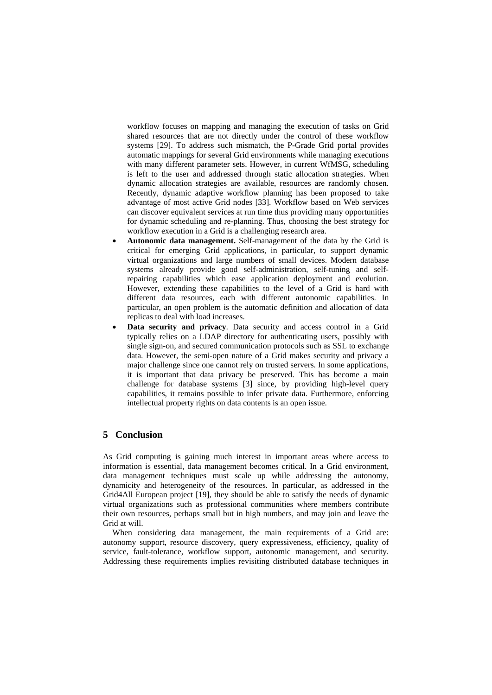workflow focuses on mapping and managing the execution of tasks on Grid shared resources that are not directly under the control of these workflow systems [29]. To address such mismatch, the P-Grade Grid portal provides automatic mappings for several Grid environments while managing executions with many different parameter sets. However, in current WfMSG, scheduling is left to the user and addressed through static allocation strategies. When dynamic allocation strategies are available, resources are randomly chosen. Recently, dynamic adaptive workflow planning has been proposed to take advantage of most active Grid nodes [33]. Workflow based on Web services can discover equivalent services at run time thus providing many opportunities for dynamic scheduling and re-planning. Thus, choosing the best strategy for workflow execution in a Grid is a challenging research area.

- **Autonomic data management.** Self-management of the data by the Grid is critical for emerging Grid applications, in particular, to support dynamic virtual organizations and large numbers of small devices. Modern database systems already provide good self-administration, self-tuning and selfrepairing capabilities which ease application deployment and evolution. However, extending these capabilities to the level of a Grid is hard with different data resources, each with different autonomic capabilities. In particular, an open problem is the automatic definition and allocation of data replicas to deal with load increases.
- **Data security and privacy**. Data security and access control in a Grid typically relies on a LDAP directory for authenticating users, possibly with single sign-on, and secured communication protocols such as SSL to exchange data. However, the semi-open nature of a Grid makes security and privacy a major challenge since one cannot rely on trusted servers. In some applications, it is important that data privacy be preserved. This has become a main challenge for database systems [3] since, by providing high-level query capabilities, it remains possible to infer private data. Furthermore, enforcing intellectual property rights on data contents is an open issue.

#### **5 Conclusion**

As Grid computing is gaining much interest in important areas where access to information is essential, data management becomes critical. In a Grid environment, data management techniques must scale up while addressing the autonomy, dynamicity and heterogeneity of the resources. In particular, as addressed in the Grid4All European project [19], they should be able to satisfy the needs of dynamic virtual organizations such as professional communities where members contribute their own resources, perhaps small but in high numbers, and may join and leave the Grid at will.

When considering data management, the main requirements of a Grid are: autonomy support, resource discovery, query expressiveness, efficiency, quality of service, fault-tolerance, workflow support, autonomic management, and security. Addressing these requirements implies revisiting distributed database techniques in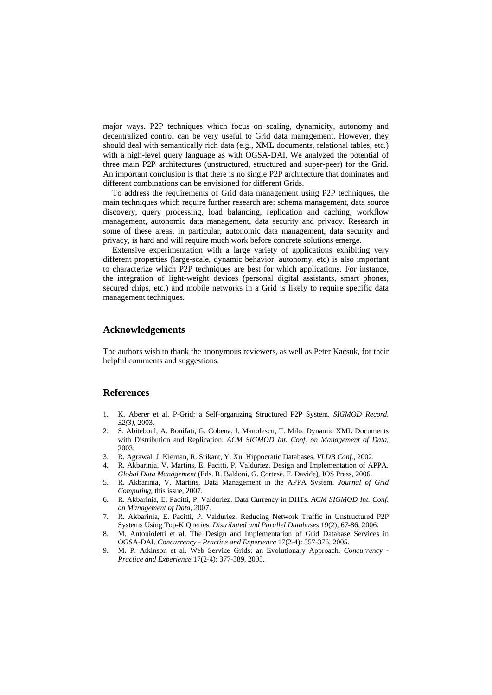major ways. P2P techniques which focus on scaling, dynamicity, autonomy and decentralized control can be very useful to Grid data management. However, they should deal with semantically rich data (e.g., XML documents, relational tables, etc.) with a high-level query language as with OGSA-DAI. We analyzed the potential of three main P2P architectures (unstructured, structured and super-peer) for the Grid. An important conclusion is that there is no single P2P architecture that dominates and different combinations can be envisioned for different Grids.

To address the requirements of Grid data management using P2P techniques, the main techniques which require further research are: schema management, data source discovery, query processing, load balancing, replication and caching, workflow management, autonomic data management, data security and privacy. Research in some of these areas, in particular, autonomic data management, data security and privacy, is hard and will require much work before concrete solutions emerge.

Extensive experimentation with a large variety of applications exhibiting very different properties (large-scale, dynamic behavior, autonomy, etc) is also important to characterize which P2P techniques are best for which applications. For instance, the integration of light-weight devices (personal digital assistants, smart phones, secured chips, etc.) and mobile networks in a Grid is likely to require specific data management techniques.

### **Acknowledgements**

The authors wish to thank the anonymous reviewers, as well as Peter Kacsuk, for their helpful comments and suggestions.

### **References**

- 1. K. Aberer et al. P-Grid: a Self-organizing Structured P2P System. *SIGMOD Record, 32(3),* 2003.
- 2. S. Abiteboul, A. Bonifati, G. Cobena, I. Manolescu, T. Milo. Dynamic XML Documents with Distribution and Replication. *ACM SIGMOD Int. Conf. on Management of Data*, 2003.
- 3. R. Agrawal, J. Kiernan, R. Srikant, Y. Xu. Hippocratic Databases. *VLDB Conf.,* 2002.
- 4. R. Akbarinia, V. Martins, E. Pacitti, P. Valduriez. Design and Implementation of APPA. *Global Data Management* (Eds. R. Baldoni, G. Cortese, F. Davide), IOS Press, 2006.
- 5. R. Akbarinia, V. Martins. Data Management in the APPA System. *Journal of Grid Computing,* this issue, 2007.
- 6. R. Akbarinia, E. Pacitti, P. Valduriez. Data Currency in DHTs. *ACM SIGMOD Int. Conf. on Management of Data*, 2007.
- 7. R. Akbarinia, E. Pacitti, P. Valduriez. Reducing Network Traffic in Unstructured P2P Systems Using Top-K Queries. *Distributed and Parallel Databases* 19(2), 67-86, 2006.
- 8. M. Antonioletti et al. The Design and Implementation of Grid Database Services in OGSA-DAI. *Concurrency - Practice and Experience* 17(2-4): 357-376, 2005.
- 9. M. P. Atkinson et al. Web Service Grids: an Evolutionary Approach. *Concurrency Practice and Experience* 17(2-4): 377-389, 2005.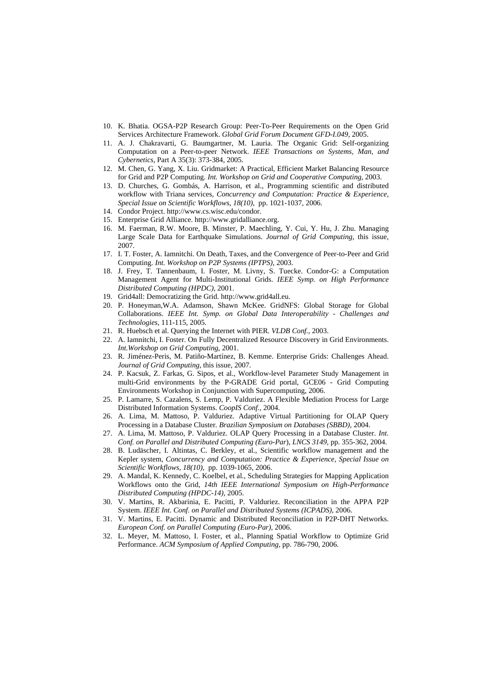- 10. K. Bhatia. OGSA-P2P Research Group: Peer-To-Peer Requirements on the Open Grid Services Architecture Framework. *Global Grid Forum Document GFD-I.049*, 2005.
- 11. A. J. Chakravarti, G. Baumgartner, M. Lauria. The Organic Grid: Self-organizing Computation on a Peer-to-peer Network. *IEEE Transactions on Systems, Man, and Cybernetics*, Part A 35(3): 373-384, 2005.
- 12. M. Chen, G. Yang, X. Liu. Gridmarket: A Practical, Efficient Market Balancing Resource for Grid and P2P Computing. *Int. Workshop on Grid and Cooperative Computing*, 2003.
- 13. D. Churches, G. Gombás, A. Harrison, et al., Programming scientific and distributed workflow with Triana services, *Concurrency and Computation: Practice & Experience, Special Issue on Scientific Workflows*, *18(10)*, pp. 1021-1037, 2006.
- 14. Condor Project. http://www.cs.wisc.edu/condor.
- 15. Enterprise Grid Alliance. http://www.gridalliance.org.
- 16. M. Faerman, R.W. Moore, B. Minster, P. Maechling, Y. Cui, Y. Hu, J. Zhu. Managing Large Scale Data for Earthquake Simulations. *Journal of Grid Computing,* this issue, 2007.
- 17. I. T. Foster, A. Iamnitchi. On Death, Taxes, and the Convergence of Peer-to-Peer and Grid Computing. *Int. Workshop on P2P Systems (IPTPS),* 2003.
- 18. J. Frey, T. Tannenbaum, I. Foster, M. Livny, S. Tuecke. Condor-G: a Computation Management Agent for Multi-Institutional Grids. *IEEE Symp. on High Performance Distributed Computing (HPDC)*, 2001.
- 19. Grid4all: Democratizing the Grid. http://www.grid4all.eu.
- 20. P. Honeyman,W.A. Adamson, Shawn McKee. GridNFS: Global Storage for Global Collaborations. *IEEE Int. Symp. on Global Data Interoperability - Challenges and Technologies*, 111-115, 2005.
- 21. R. Huebsch et al. Querying the Internet with PIER*. VLDB Conf.,* 2003.
- 22. A. Iamnitchi, I. Foster. On Fully Decentralized Resource Discovery in Grid Environments. *Int.Workshop on Grid Computing*, 2001.
- 23. R. Jiménez-Peris, M. Patiño-Martínez, B. Kemme. Enterprise Grids: Challenges Ahead. *Journal of Grid Computing,* this issue, 2007.
- 24. P. Kacsuk, Z. Farkas, G. Sipos, et al., Workflow-level Parameter Study Management in multi-Grid environments by the P-GRADE Grid portal, GCE06 - Grid Computing Environments Workshop in Conjunction with Supercomputing, 2006.
- 25. P. Lamarre, S. Cazalens, S. Lemp, P. Valduriez. A Flexible Mediation Process for Large Distributed Information Systems. *CoopIS Conf.,* 2004.
- 26. A. Lima, M. Mattoso, P. Valduriez. Adaptive Virtual Partitioning for OLAP Query Processing in a Database Cluster. *Brazilian Symposium on Databases (SBBD),* 2004.
- 27. A. Lima, M. Mattoso, P. Valduriez. OLAP Query Processing in a Database Cluster. *Int. Conf. on Parallel and Distributed Computing (Euro-Par*), *LNCS 3149,* pp. 355-362, 2004.
- 28. B. Ludäscher, I. Altintas, C. Berkley, et al., Scientific workflow management and the Kepler system, *Concurrency and Computation: Practice & Experience, Special Issue on Scientific Workflows, 18(10)*, pp. 1039-1065, 2006.
- 29. A. Mandal, K. Kennedy, C. Koelbel, et al., Scheduling Strategies for Mapping Application Workflows onto the Grid, *14th IEEE International Symposium on High-Performance Distributed Computing (HPDC-14)*, 2005.
- 30. V. Martins, R. Akbarinia, E. Pacitti, P. Valduriez. Reconciliation in the APPA P2P System. *IEEE Int. Conf. on Parallel and Distributed Systems (ICPADS)*, 2006.
- 31. V. Martins, E. Pacitti. Dynamic and Distributed Reconciliation in P2P-DHT Networks. *European Conf. on Parallel Computing (Euro-Par)*, 2006.
- 32. L. Meyer, M. Mattoso, I. Foster, et al., Planning Spatial Workflow to Optimize Grid Performance. *ACM Symposium of Applied Computing*, pp. 786-790, 2006.